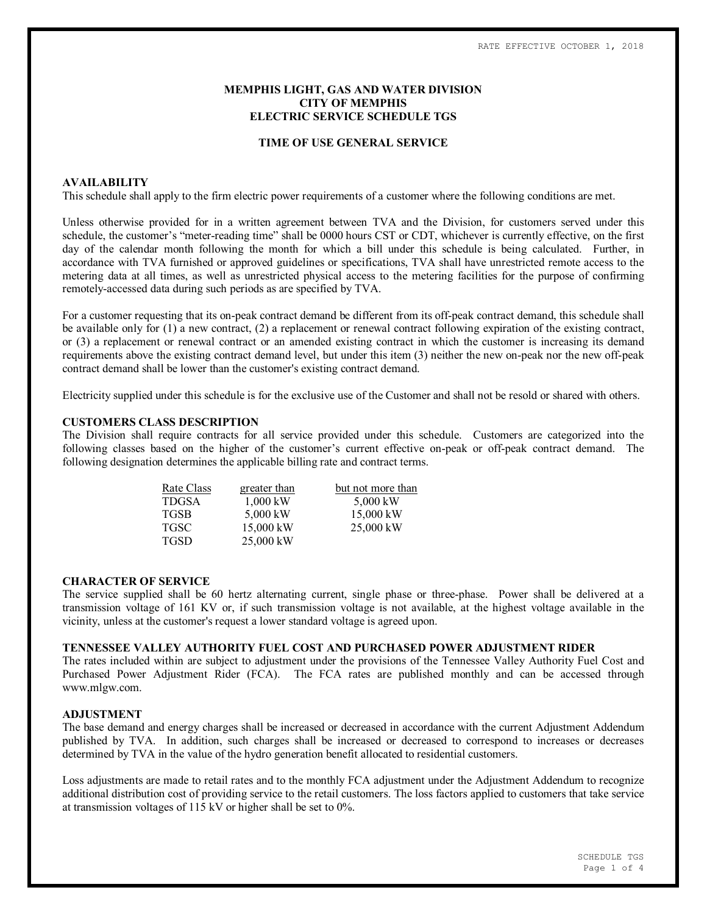## **MEMPHIS LIGHT, GAS AND WATER DIVISION CITY OF MEMPHIS ELECTRIC SERVICE SCHEDULE TGS**

### **TIME OF USE GENERAL SERVICE**

### **AVAILABILITY**

This schedule shall apply to the firm electric power requirements of a customer where the following conditions are met.

Unless otherwise provided for in a written agreement between TVA and the Division, for customers served under this schedule, the customer's "meter-reading time" shall be 0000 hours CST or CDT, whichever is currently effective, on the first day of the calendar month following the month for which a bill under this schedule is being calculated. Further, in accordance with TVA furnished or approved guidelines or specifications, TVA shall have unrestricted remote access to the metering data at all times, as well as unrestricted physical access to the metering facilities for the purpose of confirming remotely-accessed data during such periods as are specified by TVA.

For a customer requesting that its on-peak contract demand be different from its off-peak contract demand, this schedule shall be available only for (1) a new contract, (2) a replacement or renewal contract following expiration of the existing contract, or (3) a replacement or renewal contract or an amended existing contract in which the customer is increasing its demand requirements above the existing contract demand level, but under this item (3) neither the new on-peak nor the new off-peak contract demand shall be lower than the customer's existing contract demand.

Electricity supplied under this schedule is for the exclusive use of the Customer and shall not be resold or shared with others.

## **CUSTOMERS CLASS DESCRIPTION**

The Division shall require contracts for all service provided under this schedule. Customers are categorized into the following classes based on the higher of the customer's current effective on-peak or off-peak contract demand. The following designation determines the applicable billing rate and contract terms.

| Rate Class   | greater than | but not more than |  |  |  |
|--------------|--------------|-------------------|--|--|--|
| <b>TDGSA</b> | $1,000$ kW   | 5,000 kW          |  |  |  |
| <b>TGSB</b>  | 5,000 kW     | 15,000 kW         |  |  |  |
| <b>TGSC</b>  | 15,000 kW    | $25,000$ kW       |  |  |  |
| <b>TGSD</b>  | 25,000 kW    |                   |  |  |  |

#### **CHARACTER OF SERVICE**

The service supplied shall be 60 hertz alternating current, single phase or three-phase. Power shall be delivered at a transmission voltage of 161 KV or, if such transmission voltage is not available, at the highest voltage available in the vicinity, unless at the customer's request a lower standard voltage is agreed upon.

## **TENNESSEE VALLEY AUTHORITY FUEL COST AND PURCHASED POWER ADJUSTMENT RIDER**

The rates included within are subject to adjustment under the provisions of the Tennessee Valley Authority Fuel Cost and Purchased Power Adjustment Rider (FCA). The FCA rates are published monthly and can be accessed through www.mlgw.com.

## **ADJUSTMENT**

The base demand and energy charges shall be increased or decreased in accordance with the current Adjustment Addendum published by TVA. In addition, such charges shall be increased or decreased to correspond to increases or decreases determined by TVA in the value of the hydro generation benefit allocated to residential customers.

Loss adjustments are made to retail rates and to the monthly FCA adjustment under the Adjustment Addendum to recognize additional distribution cost of providing service to the retail customers. The loss factors applied to customers that take service at transmission voltages of 115 kV or higher shall be set to 0%.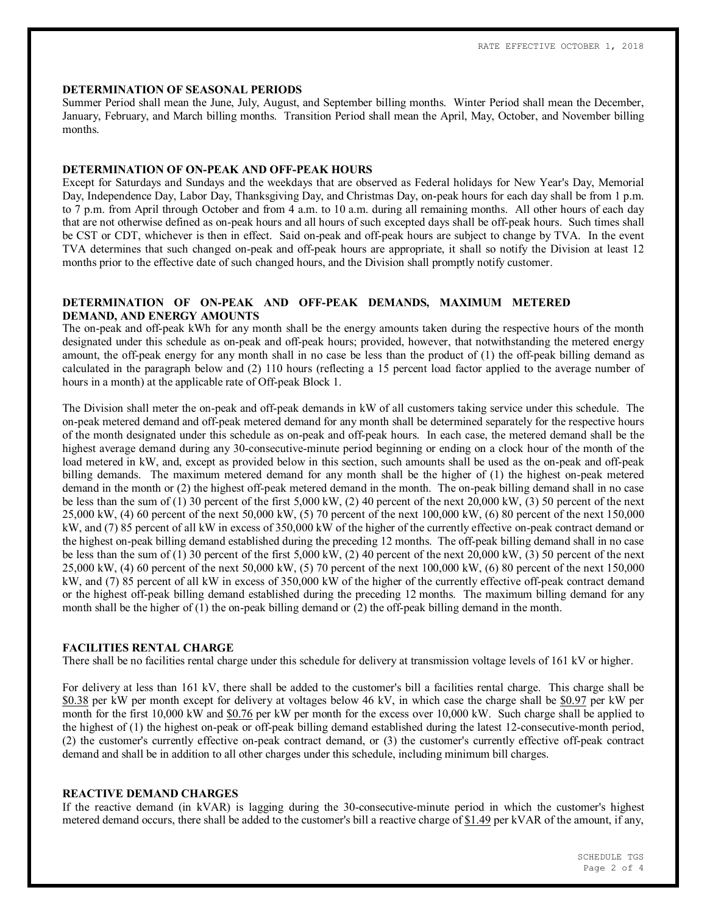### **DETERMINATION OF SEASONAL PERIODS**

Summer Period shall mean the June, July, August, and September billing months. Winter Period shall mean the December, January, February, and March billing months. Transition Period shall mean the April, May, October, and November billing months.

## **DETERMINATION OF ON-PEAK AND OFF-PEAK HOURS**

Except for Saturdays and Sundays and the weekdays that are observed as Federal holidays for New Year's Day, Memorial Day, Independence Day, Labor Day, Thanksgiving Day, and Christmas Day, on-peak hours for each day shall be from 1 p.m. to 7 p.m. from April through October and from 4 a.m. to 10 a.m. during all remaining months. All other hours of each day that are not otherwise defined as on-peak hours and all hours of such excepted days shall be off-peak hours. Such times shall be CST or CDT, whichever is then in effect. Said on-peak and off-peak hours are subject to change by TVA. In the event TVA determines that such changed on-peak and off-peak hours are appropriate, it shall so notify the Division at least 12 months prior to the effective date of such changed hours, and the Division shall promptly notify customer.

## **DETERMINATION OF ON-PEAK AND OFF-PEAK DEMANDS, MAXIMUM METERED DEMAND, AND ENERGY AMOUNTS**

The on-peak and off-peak kWh for any month shall be the energy amounts taken during the respective hours of the month designated under this schedule as on-peak and off-peak hours; provided, however, that notwithstanding the metered energy amount, the off-peak energy for any month shall in no case be less than the product of (1) the off-peak billing demand as calculated in the paragraph below and (2) 110 hours (reflecting a 15 percent load factor applied to the average number of hours in a month) at the applicable rate of Off-peak Block 1.

The Division shall meter the on-peak and off-peak demands in kW of all customers taking service under this schedule. The on-peak metered demand and off-peak metered demand for any month shall be determined separately for the respective hours of the month designated under this schedule as on-peak and off-peak hours. In each case, the metered demand shall be the highest average demand during any 30-consecutive-minute period beginning or ending on a clock hour of the month of the load metered in kW, and, except as provided below in this section, such amounts shall be used as the on-peak and off-peak billing demands. The maximum metered demand for any month shall be the higher of (1) the highest on-peak metered demand in the month or (2) the highest off-peak metered demand in the month. The on-peak billing demand shall in no case be less than the sum of (1) 30 percent of the first 5,000 kW, (2) 40 percent of the next 20,000 kW, (3) 50 percent of the next 25,000 kW, (4) 60 percent of the next 50,000 kW, (5) 70 percent of the next 100,000 kW, (6) 80 percent of the next 150,000 kW, and (7) 85 percent of all kW in excess of 350,000 kW of the higher of the currently effective on-peak contract demand or the highest on-peak billing demand established during the preceding 12 months. The off-peak billing demand shall in no case be less than the sum of (1) 30 percent of the first 5,000 kW, (2) 40 percent of the next 20,000 kW, (3) 50 percent of the next 25,000 kW, (4) 60 percent of the next 50,000 kW, (5) 70 percent of the next 100,000 kW, (6) 80 percent of the next 150,000 kW, and (7) 85 percent of all kW in excess of 350,000 kW of the higher of the currently effective off-peak contract demand or the highest off-peak billing demand established during the preceding 12 months. The maximum billing demand for any month shall be the higher of (1) the on-peak billing demand or (2) the off-peak billing demand in the month.

## **FACILITIES RENTAL CHARGE**

There shall be no facilities rental charge under this schedule for delivery at transmission voltage levels of 161 kV or higher.

For delivery at less than 161 kV, there shall be added to the customer's bill a facilities rental charge. This charge shall be \$0.38 per kW per month except for delivery at voltages below 46 kV, in which case the charge shall be \$0.97 per kW per month for the first 10,000 kW and \$0.76 per kW per month for the excess over 10,000 kW. Such charge shall be applied to the highest of (1) the highest on-peak or off-peak billing demand established during the latest 12-consecutive-month period, (2) the customer's currently effective on-peak contract demand, or (3) the customer's currently effective off-peak contract demand and shall be in addition to all other charges under this schedule, including minimum bill charges.

## **REACTIVE DEMAND CHARGES**

If the reactive demand (in kVAR) is lagging during the 30-consecutive-minute period in which the customer's highest metered demand occurs, there shall be added to the customer's bill a reactive charge of \$1.49 per kVAR of the amount, if any,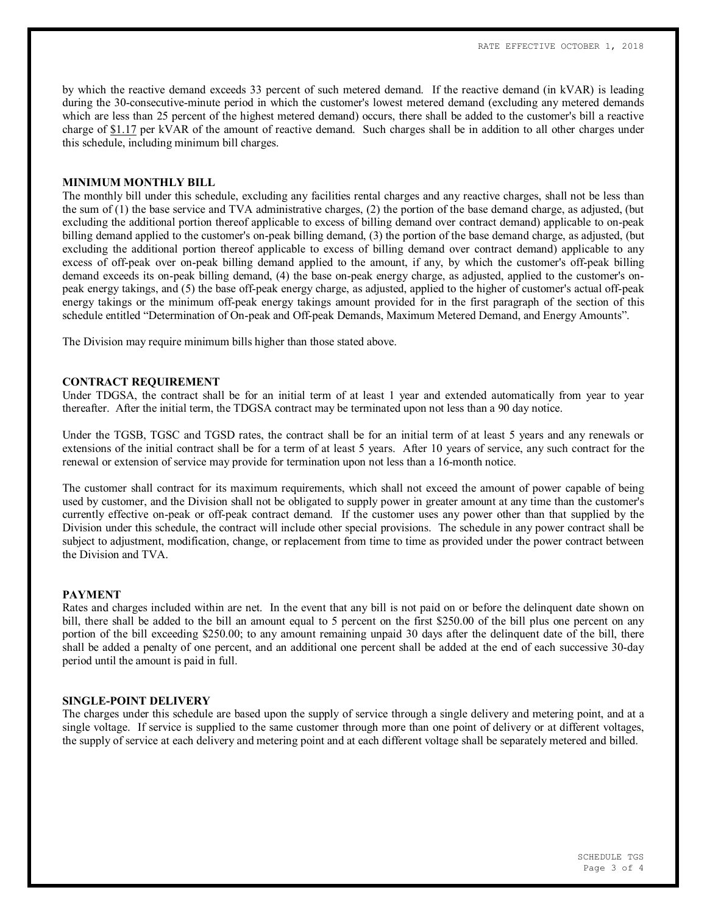by which the reactive demand exceeds 33 percent of such metered demand. If the reactive demand (in kVAR) is leading during the 30-consecutive-minute period in which the customer's lowest metered demand (excluding any metered demands which are less than 25 percent of the highest metered demand) occurs, there shall be added to the customer's bill a reactive charge of \$1.17 per kVAR of the amount of reactive demand. Such charges shall be in addition to all other charges under this schedule, including minimum bill charges.

#### **MINIMUM MONTHLY BILL**

The monthly bill under this schedule, excluding any facilities rental charges and any reactive charges, shall not be less than the sum of (1) the base service and TVA administrative charges, (2) the portion of the base demand charge, as adjusted, (but excluding the additional portion thereof applicable to excess of billing demand over contract demand) applicable to on-peak billing demand applied to the customer's on-peak billing demand, (3) the portion of the base demand charge, as adjusted, (but excluding the additional portion thereof applicable to excess of billing demand over contract demand) applicable to any excess of off-peak over on-peak billing demand applied to the amount, if any, by which the customer's off-peak billing demand exceeds its on-peak billing demand, (4) the base on-peak energy charge, as adjusted, applied to the customer's onpeak energy takings, and (5) the base off-peak energy charge, as adjusted, applied to the higher of customer's actual off-peak energy takings or the minimum off-peak energy takings amount provided for in the first paragraph of the section of this schedule entitled "Determination of On-peak and Off-peak Demands, Maximum Metered Demand, and Energy Amounts".

The Division may require minimum bills higher than those stated above.

## **CONTRACT REQUIREMENT**

Under TDGSA, the contract shall be for an initial term of at least 1 year and extended automatically from year to year thereafter. After the initial term, the TDGSA contract may be terminated upon not less than a 90 day notice.

Under the TGSB, TGSC and TGSD rates, the contract shall be for an initial term of at least 5 years and any renewals or extensions of the initial contract shall be for a term of at least 5 years. After 10 years of service, any such contract for the renewal or extension of service may provide for termination upon not less than a 16-month notice.

The customer shall contract for its maximum requirements, which shall not exceed the amount of power capable of being used by customer, and the Division shall not be obligated to supply power in greater amount at any time than the customer's currently effective on-peak or off-peak contract demand. If the customer uses any power other than that supplied by the Division under this schedule, the contract will include other special provisions. The schedule in any power contract shall be subject to adjustment, modification, change, or replacement from time to time as provided under the power contract between the Division and TVA.

#### **PAYMENT**

Rates and charges included within are net. In the event that any bill is not paid on or before the delinquent date shown on bill, there shall be added to the bill an amount equal to 5 percent on the first \$250.00 of the bill plus one percent on any portion of the bill exceeding \$250.00; to any amount remaining unpaid 30 days after the delinquent date of the bill, there shall be added a penalty of one percent, and an additional one percent shall be added at the end of each successive 30-day period until the amount is paid in full.

### **SINGLE-POINT DELIVERY**

The charges under this schedule are based upon the supply of service through a single delivery and metering point, and at a single voltage. If service is supplied to the same customer through more than one point of delivery or at different voltages, the supply of service at each delivery and metering point and at each different voltage shall be separately metered and billed.